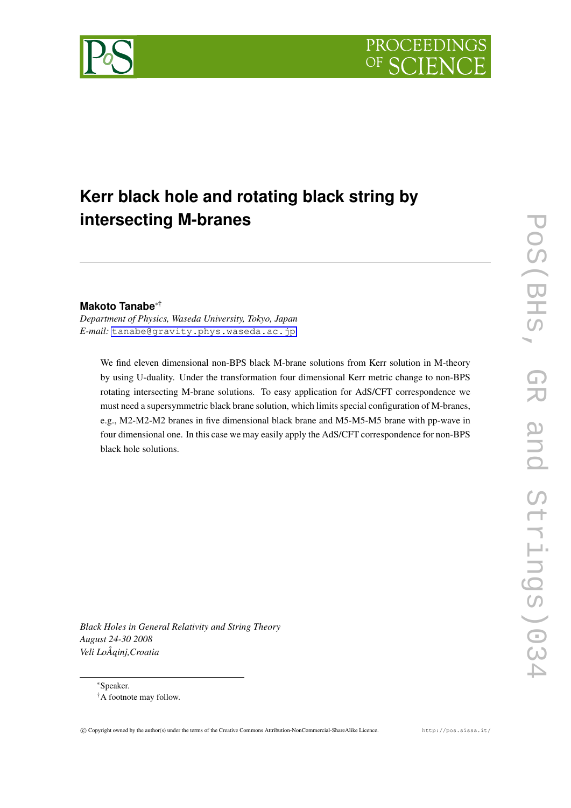

# **Kerr black hole and rotating black string by intersecting M-branes**

# **Makoto Tanabe***∗*†

*Department of Physics, Waseda University, Tokyo, Japan E-mail:* [tanabe@gravity.phys.waseda.ac.jp](mailto:tanabe@gravity.phys.waseda.ac.jp)

We find eleven dimensional non-BPS black M-brane solutions from Kerr solution in M-theory by using U-duality. Under the transformation four dimensional Kerr metric change to non-BPS rotating intersecting M-brane solutions. To easy application for AdS/CFT correspondence we must need a supersymmetric black brane solution, which limits special configuration of M-branes, e.g., M2-M2-M2 branes in five dimensional black brane and M5-M5-M5 brane with pp-wave in four dimensional one. In this case we may easily apply the AdS/CFT correspondence for non-BPS black hole solutions.

*Black Holes in General Relativity and String Theory August 24-30 2008 Veli LoÅ ˛ainj,Croatia*

*∗*Speaker.

<sup>†</sup>A footnote may follow.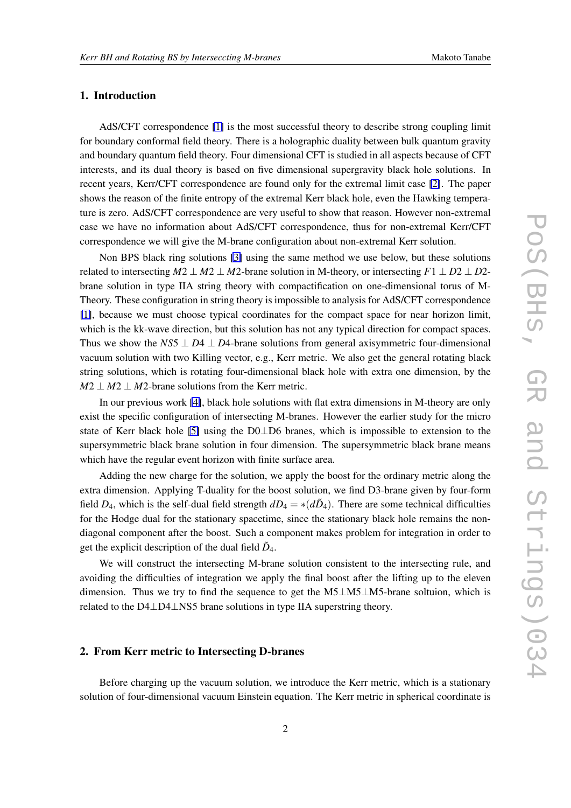## 1. Introduction

AdS/CFT correspondence [\[1\]](#page-5-0) is the most successful theory to describe strong coupling limit for boundary conformal field theory. There is a holographic duality between bulk quantum gravity and boundary quantum field theory. Four dimensional CFT is studied in all aspects because of CFT interests, and its dual theory is based on five dimensional supergravity black hole solutions. In recent years, Kerr/CFT correspondence are found only for the extremal limit case [\[2\]](#page-5-0). The paper shows the reason of the finite entropy of the extremal Kerr black hole, even the Hawking temperature is zero. AdS/CFT correspondence are very useful to show that reason. However non-extremal case we have no information about AdS/CFT correspondence, thus for non-extremal Kerr/CFT correspondence we will give the M-brane configuration about non-extremal Kerr solution.

Non BPS black ring solutions [\[3\]](#page-5-0) using the same method we use below, but these solutions related to intersecting  $M2 \perp M2 \perp M2$ -brane solution in M-theory, or intersecting  $F1 \perp D2 \perp D2$ brane solution in type IIA string theory with compactification on one-dimensional torus of M-Theory. These configuration in string theory is impossible to analysis for AdS/CFT correspondence [\[1\]](#page-5-0), because we must choose typical coordinates for the compact space for near horizon limit, which is the kk-wave direction, but this solution has not any typical direction for compact spaces. Thus we show the *NS*5 *⊥ D*4 *⊥ D*4-brane solutions from general axisymmetric four-dimensional vacuum solution with two Killing vector, e.g., Kerr metric. We also get the general rotating black string solutions, which is rotating four-dimensional black hole with extra one dimension, by the  $M2 \perp M2 \perp M2$ -brane solutions from the Kerr metric.

In our previous work [\[4\]](#page-5-0), black hole solutions with flat extra dimensions in M-theory are only exist the specific configuration of intersecting M-branes. However the earlier study for the micro state of Kerr black hole [\[5\]](#page-5-0) using the D0*⊥*D6 branes, which is impossible to extension to the supersymmetric black brane solution in four dimension. The supersymmetric black brane means which have the regular event horizon with finite surface area.

Adding the new charge for the solution, we apply the boost for the ordinary metric along the extra dimension. Applying T-duality for the boost solution, we find D3-brane given by four-form field  $D_4$ , which is the self-dual field strength  $dD_4 = * (d\tilde{D}_4)$ . There are some technical difficulties for the Hodge dual for the stationary spacetime, since the stationary black hole remains the nondiagonal component after the boost. Such a component makes problem for integration in order to get the explicit description of the dual field  $\tilde{D}_4$ .

We will construct the intersecting M-brane solution consistent to the intersecting rule, and avoiding the difficulties of integration we apply the final boost after the lifting up to the eleven dimension. Thus we try to find the sequence to get the M5*⊥*M5*⊥*M5-brane soltuion, which is related to the D4*⊥*D4*⊥*NS5 brane solutions in type IIA superstring theory.

### 2. From Kerr metric to Intersecting D-branes

Before charging up the vacuum solution, we introduce the Kerr metric, which is a stationary solution of four-dimensional vacuum Einstein equation. The Kerr metric in spherical coordinate is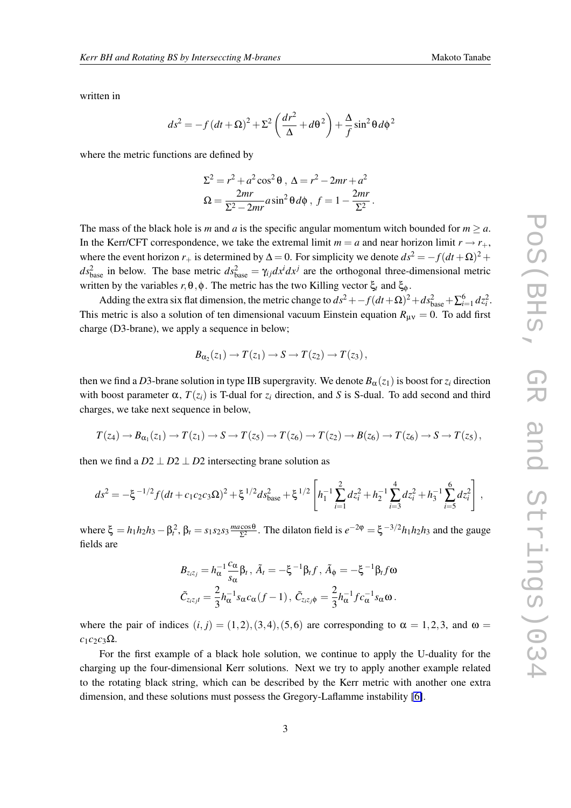written in

$$
ds^{2} = -f (dt + \Omega)^{2} + \Sigma^{2} \left( \frac{dr^{2}}{\Delta} + d\theta^{2} \right) + \frac{\Delta}{f} \sin^{2} \theta d\phi^{2}
$$

where the metric functions are defined by

$$
\Sigma^2 = r^2 + a^2 \cos^2 \theta, \ \Delta = r^2 - 2mr + a^2
$$

$$
\Omega = \frac{2mr}{\Sigma^2 - 2mr} a \sin^2 \theta d\phi, \ f = 1 - \frac{2mr}{\Sigma^2}.
$$

The mass of the black hole is *m* and *a* is the specific angular momentum witch bounded for  $m > a$ . In the Kerr/CFT correspondence, we take the extremal limit  $m = a$  and near horizon limit  $r \rightarrow r_{+}$ , where the event horizon  $r_+$  is determined by  $\Delta = 0$ . For simplicity we denote  $ds^2 = -f(dt + \Omega)^2 +$  $ds_{base}^2$  in below. The base metric  $ds_{base}^2 = \gamma_{ij}dx^i dx^j$  are the orthogonal three-dimensional metric written by the variables *r,*θ*,*φ. The metric has the two Killing vector ξ*<sup>t</sup>* and ξ<sup>φ</sup> .

Adding the extra six flat dimension, the metric change to  $ds^2 + -f(dt+\Omega)^2 + ds^2_{\text{base}} + \sum_{i=1}^6 dz_i^2$ . This metric is also a solution of ten dimensional vacuum Einstein equation  $R_{\mu\nu} = 0$ . To add first charge (D3-brane), we apply a sequence in below;

$$
B_{\alpha_2}(z_1) \to T(z_1) \to S \to T(z_2) \to T(z_3),
$$

then we find a *D*3-brane solution in type IIB supergravity. We denote  $B_\alpha(z_1)$  is boost for  $z_i$  direction with boost parameter  $\alpha$ ,  $T(z_i)$  is T-dual for  $z_i$  direction, and *S* is S-dual. To add second and third charges, we take next sequence in below,

$$
T(z_4) \to B_{\alpha_1}(z_1) \to T(z_1) \to S \to T(z_5) \to T(z_6) \to T(z_2) \to B(z_6) \to T(z_6) \to S \to T(z_5),
$$

then we find a  $D2 \perp D2 \perp D2$  intersecting brane solution as

$$
ds^{2} = -\xi^{-1/2} f (dt + c_{1}c_{2}c_{3}\Omega)^{2} + \xi^{1/2} ds_{\text{base}}^{2} + \xi^{1/2} \left[ h_{1}^{-1} \sum_{i=1}^{2} dz_{i}^{2} + h_{2}^{-1} \sum_{i=3}^{4} dz_{i}^{2} + h_{3}^{-1} \sum_{i=5}^{6} dz_{i}^{2} \right],
$$

 $\kappa$  being  $\xi = h_1 h_2 h_3 - \beta_t^2$ ,  $\beta_t = s_1 s_2 s_3 \frac{m a \cos \theta}{\Sigma^2}$  $\frac{\cos \theta}{\Sigma^2}$ . The dilaton field is  $e^{-2\phi} = \xi^{-3/2} h_1 h_2 h_3$  and the gauge fields are

$$
B_{z_iz_j} = h_\alpha^{-1} \frac{c_\alpha}{s_\alpha} \beta_t, \, \tilde{A}_t = -\xi^{-1} \beta_t f, \, \tilde{A}_\phi = -\xi^{-1} \beta_t f \omega
$$
  

$$
\tilde{C}_{z_iz_jt} = \frac{2}{3} h_\alpha^{-1} s_\alpha c_\alpha (f-1), \, \tilde{C}_{z_iz_j\phi} = \frac{2}{3} h_\alpha^{-1} f c_\alpha^{-1} s_\alpha \omega.
$$

where the pair of indices  $(i, j) = (1, 2), (3, 4), (5, 6)$  are corresponding to  $\alpha = 1, 2, 3$ , and  $\omega =$  $c_1c_2c_3\Omega$ .

For the first example of a black hole solution, we continue to apply the U-duality for the charging up the four-dimensional Kerr solutions. Next we try to apply another example related to the rotating black string, which can be described by the Kerr metric with another one extra dimension, and these solutions must possess the Gregory-Laflamme instability [\[6\]](#page-5-0).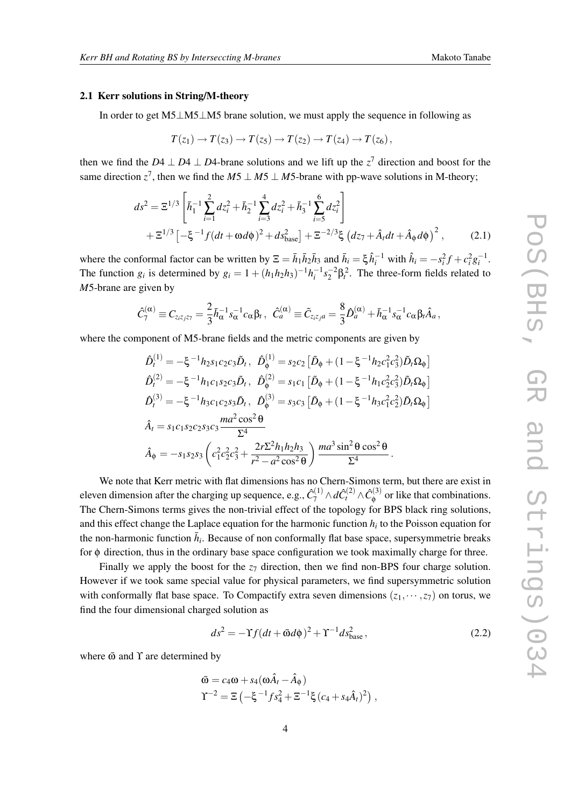#### 2.1 Kerr solutions in String/M-theory

In order to get M5*⊥*M5*⊥*M5 brane solution, we must apply the sequence in following as

$$
T(z_1) \to T(z_3) \to T(z_5) \to T(z_2) \to T(z_4) \to T(z_6),
$$

then we find the *D*4  $\perp$  *D*4  $\perp$  *D*4-brane solutions and we lift up the *z*<sup>7</sup> direction and boost for the same direction  $z^7$ , then we find the  $M5 \perp M5 \perp M5$ -brane with pp-wave solutions in M-theory;

$$
ds^{2} = \Xi^{1/3} \left[ \bar{h}_{1}^{-1} \sum_{i=1}^{2} dz_{i}^{2} + \bar{h}_{2}^{-1} \sum_{i=3}^{4} dz_{i}^{2} + \bar{h}_{3}^{-1} \sum_{i=5}^{6} dz_{i}^{2} \right] + \Xi^{1/3} \left[ -\xi^{-1} f (dt + \omega d\phi)^{2} + ds_{\text{base}}^{2} \right] + \Xi^{-2/3} \xi \left( dz_{7} + \hat{A}_{t} dt + \hat{A}_{\phi} d\phi \right)^{2}, \quad (2.1)
$$

where the conformal factor can be written by  $\Xi = \bar{h}_1 \bar{h}_2 \bar{h}_3$  and  $\bar{h}_i = \xi \hat{h}_i^{-1}$  with  $\hat{h}_i = -s_i^2 f + c_i^2 g_i^{-1}$ . The function  $g_i$  is determined by  $g_i = 1 + (h_1 h_2 h_3)^{-1} h_i^{-1} s_2^{-2} \beta_i^2$ . The three-form fields related to *M*5-brane are given by

$$
\hat{C}_7^{(\alpha)}\equiv C_{z_iz_jz_7}=\frac{2}{3}\bar{h}_\alpha^{-1}s_\alpha^{-1}c_\alpha\beta_t\,,\ \ \hat{C}_a^{(\alpha)}\equiv \tilde{C}_{z_iz_ja}=\frac{8}{3}\hat{D}_a^{(\alpha)}+\bar{h}_\alpha^{-1}s_\alpha^{-1}c_\alpha\beta_t\hat{A}_a\,,
$$

where the component of M5-brane fields and the metric components are given by

$$
\hat{D}_{t}^{(1)} = -\xi^{-1}h_{2}s_{1}c_{2}c_{3}\tilde{D}_{t}, \quad \hat{D}_{\phi}^{(1)} = s_{2}c_{2} \left[ \tilde{D}_{\phi} + (1 - \xi^{-1}h_{2}c_{1}^{2}c_{3}^{2})\tilde{D}_{t}\Omega_{\phi} \right]
$$
\n
$$
\hat{D}_{t}^{(2)} = -\xi^{-1}h_{1}c_{1}s_{2}c_{3}\tilde{D}_{t}, \quad \hat{D}_{\phi}^{(2)} = s_{1}c_{1} \left[ \tilde{D}_{\phi} + (1 - \xi^{-1}h_{1}c_{2}^{2}c_{3}^{2})\tilde{D}_{t}\Omega_{\phi} \right]
$$
\n
$$
\hat{D}_{t}^{(3)} = -\xi^{-1}h_{3}c_{1}c_{2}s_{3}\tilde{D}_{t}, \quad \hat{D}_{\phi}^{(3)} = s_{3}c_{3} \left[ \tilde{D}_{\phi} + (1 - \xi^{-1}h_{3}c_{1}^{2}c_{2}^{2})\tilde{D}_{t}\Omega_{\phi} \right]
$$
\n
$$
\hat{A}_{t} = s_{1}c_{1}s_{2}c_{2}s_{3}c_{3}\frac{ma^{2}\cos^{2}\theta}{\Sigma^{4}}
$$
\n
$$
\hat{A}_{\phi} = -s_{1}s_{2}s_{3}\left(c_{1}^{2}c_{2}^{2}c_{3}^{2} + \frac{2r\Sigma^{2}h_{1}h_{2}h_{3}}{r^{2} - a^{2}\cos^{2}\theta}\right)\frac{ma^{3}\sin^{2}\theta\cos^{2}\theta}{\Sigma^{4}}.
$$

We note that Kerr metric with flat dimensions has no Chern-Simons term, but there are exist in eleven dimension after the charging up sequence, e.g.,  $\hat{C}_7^{(1)} \wedge d\hat{C}_t^{(2)} \wedge \hat{C}_\phi^{(3)}$  $\phi^{(0)}$  or like that combinations. The Chern-Simons terms gives the non-trivial effect of the topology for BPS black ring solutions, and this effect change the Laplace equation for the harmonic function  $h_i$  to the Poisson equation for the non-harmonic function  $\bar{h}_i$ . Because of non conformally flat base space, supersymmetrie breaks for φ direction, thus in the ordinary base space configuration we took maximally charge for three.

Finally we apply the boost for the  $z<sub>7</sub>$  direction, then we find non-BPS four charge solution. However if we took same special value for physical parameters, we find supersymmetric solution with conformally flat base space. To Compactify extra seven dimensions  $(z_1, \dots, z_7)$  on torus, we find the four dimensional charged solution as

$$
ds^2 = -\Upsilon f (dt + \bar{\omega} d\phi)^2 + \Upsilon^{-1} ds_{\text{base}}^2, \qquad (2.2)
$$

where  $\bar{\omega}$  and  $\Upsilon$  are determined by

$$
\begin{aligned} \bar{\mathbf{\omega}} &= c_4 \mathbf{\omega} + s_4 (\mathbf{\omega} \hat{A}_t - \hat{A}_\phi) \\ \Upsilon^{-2} &= \Xi \left( -\xi^{-1} f s_4^2 + \Xi^{-1} \xi \left( c_4 + s_4 \hat{A}_t \right)^2 \right) \,, \end{aligned}
$$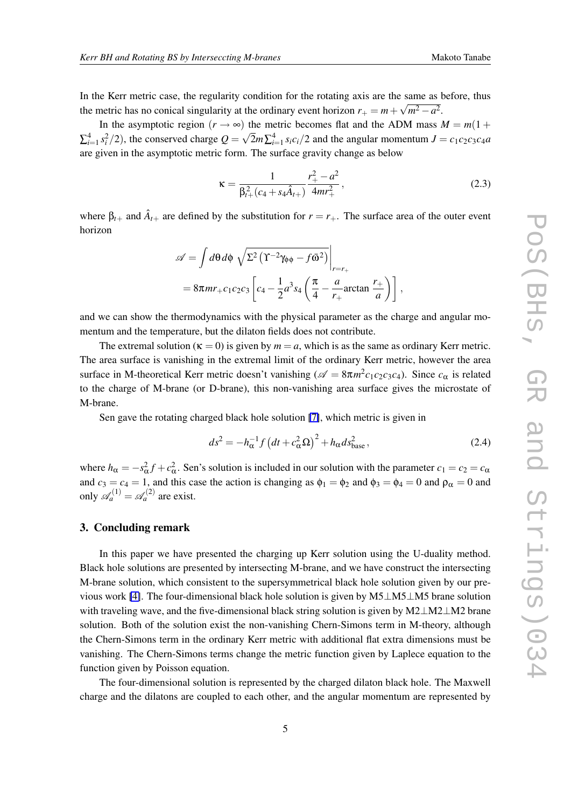In the Kerr metric case, the regularity condition for the rotating axis are the same as before, thus the metric has no conical singularity at the ordinary event horizon  $r_+ = m + \sqrt{m^2 - a^2}$ .

In the asymptotic region  $(r \rightarrow \infty)$  the metric becomes flat and the ADM mass  $M = m(1 +$  $\sum_{i=1}^{4} s_i^2/2$ ), the conserved charge  $Q = \sqrt{2}m\sum_{i=1}^{4} s_i c_i/2$  and the angular momentum  $J = c_1c_2c_3c_4a$ are given in the asymptotic metric form. The surface gravity change as below

$$
\kappa = \frac{1}{\beta_{t+}^2 (c_4 + s_4 \hat{A}_{t+})} \frac{r_+^2 - a^2}{4mr_+^2},
$$
\n(2.3)

where  $\beta_{t+}$  and  $\hat{A}_{t+}$  are defined by the substitution for  $r = r_{+}$ . The surface area of the outer event horizon

$$
\mathscr{A} = \int d\theta d\phi \sqrt{\Sigma^2 \left( \Upsilon^{-2} \gamma_{\phi\phi} - f \bar{\omega}^2 \right)} \Big|_{r=r_+}
$$
  
=  $8\pi m r_+ c_1 c_2 c_3 \left[ c_4 - \frac{1}{2} a^3 s_4 \left( \frac{\pi}{4} - \frac{a}{r_+} \arctan \frac{r_+}{a} \right) \right],$ 

and we can show the thermodynamics with the physical parameter as the charge and angular momentum and the temperature, but the dilaton fields does not contribute.

The extremal solution ( $\kappa = 0$ ) is given by  $m = a$ , which is as the same as ordinary Kerr metric. The area surface is vanishing in the extremal limit of the ordinary Kerr metric, however the area surface in M-theoretical Kerr metric doesn't vanishing ( $\mathscr{A} = 8\pi m^2 c_1 c_2 c_3 c_4$ ). Since  $c_{\alpha}$  is related to the charge of M-brane (or D-brane), this non-vanishing area surface gives the microstate of M-brane.

Sen gave the rotating charged black hole solution [\[7\]](#page-5-0), which metric is given in

$$
ds^2 = -h_{\alpha}^{-1} f \left(dt + c_{\alpha}^2 \Omega\right)^2 + h_{\alpha} ds_{\text{base}}^2, \qquad (2.4)
$$

where  $h_{\alpha} = -s_{\alpha}^2 f + c_{\alpha}^2$ . Sen's solution is included in our solution with the parameter  $c_1 = c_2 = c_{\alpha}$ and  $c_3 = c_4 = 1$ , and this case the action is changing as  $\phi_1 = \phi_2$  and  $\phi_3 = \phi_4 = 0$  and  $\rho_\alpha = 0$  and only  $\mathscr{A}_a^{(1)} = \mathscr{A}_a^{(2)}$  are exist.

#### 3. Concluding remark

In this paper we have presented the charging up Kerr solution using the U-duality method. Black hole solutions are presented by intersecting M-brane, and we have construct the intersecting M-brane solution, which consistent to the supersymmetrical black hole solution given by our previous work [\[4\]](#page-5-0). The four-dimensional black hole solution is given by M5*⊥*M5*⊥*M5 brane solution with traveling wave, and the five-dimensional black string solution is given by M2*⊥*M2*⊥*M2 brane solution. Both of the solution exist the non-vanishing Chern-Simons term in M-theory, although the Chern-Simons term in the ordinary Kerr metric with additional flat extra dimensions must be vanishing. The Chern-Simons terms change the metric function given by Laplece equation to the function given by Poisson equation.

The four-dimensional solution is represented by the charged dilaton black hole. The Maxwell charge and the dilatons are coupled to each other, and the angular momentum are represented by